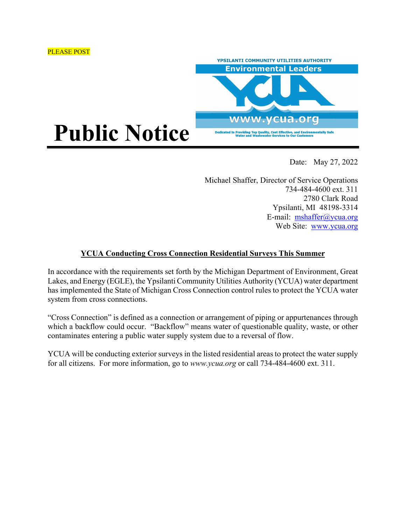



Date: May 27, 2022

Michael Shaffer, Director of Service Operations 734-484-4600 ext. 311 2780 Clark Road Ypsilanti, MI 48198-3314 E-mail: mshaffer@ycua.org Web Site: www.ycua.org

## **YCUA Conducting Cross Connection Residential Surveys This Summer**

In accordance with the requirements set forth by the Michigan Department of Environment, Great Lakes, and Energy (EGLE), the Ypsilanti Community Utilities Authority (YCUA) water department has implemented the State of Michigan Cross Connection control rules to protect the YCUA water system from cross connections.

"Cross Connection" is defined as a connection or arrangement of piping or appurtenances through which a backflow could occur. "Backflow" means water of questionable quality, waste, or other contaminates entering a public water supply system due to a reversal of flow.

YCUA will be conducting exterior surveys in the listed residential areas to protect the water supply for all citizens. For more information, go to *www.ycua.org* or call 734-484-4600 ext. 311.